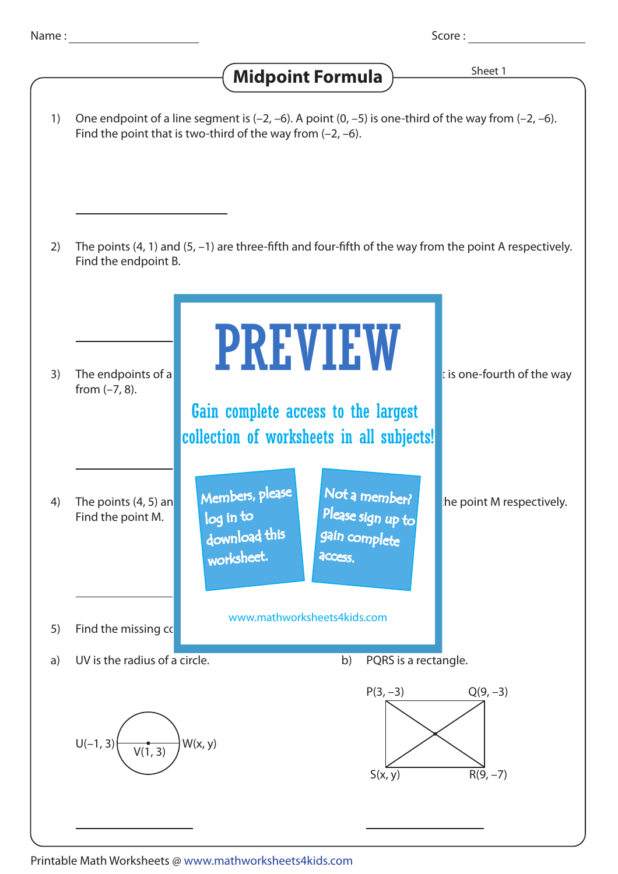| Name |  |  |  |
|------|--|--|--|
|      |  |  |  |

## **Midpoint Formula** Sheet 1

| 1) | One endpoint of a line segment is $(-2, -6)$ . A point $(0, -5)$ is one-third of the way from $(-2, -6)$ .<br>Find the point that is two-third of the way from $(-2, -6)$ . |                                                                                                    |                            |  |  |  |
|----|-----------------------------------------------------------------------------------------------------------------------------------------------------------------------------|----------------------------------------------------------------------------------------------------|----------------------------|--|--|--|
| 2) | The points $(4, 1)$ and $(5, -1)$ are three-fifth and four-fifth of the way from the point A respectively.<br>Find the endpoint B.                                          |                                                                                                    |                            |  |  |  |
| 3) | The endpoints of a<br>from $(-7, 8)$ .                                                                                                                                      | <b>PREVIEW</b><br>Gain complete access to the largest<br>collection of worksheets in all subjects! | t is one-fourth of the way |  |  |  |
| 4) | Members, please<br>The points $(4, 5)$ an<br>log in to<br>Find the point M.<br>download this<br>worksheet.                                                                  | Not a member?<br>Please sign up to<br>gain complete<br>access.                                     | the point M respectively.  |  |  |  |
| 5) | Find the missing co                                                                                                                                                         | www.mathworksheets4kids.com                                                                        |                            |  |  |  |
| a) | UV is the radius of a circle.                                                                                                                                               | PQRS is a rectangle.<br>b)                                                                         |                            |  |  |  |
|    | W(x, y)<br>$U(-1, 3)$<br>V(1, 3)                                                                                                                                            | $P(3, -3)$<br>S(x, y)                                                                              | $Q(9, -3)$<br>$R(9, -7)$   |  |  |  |